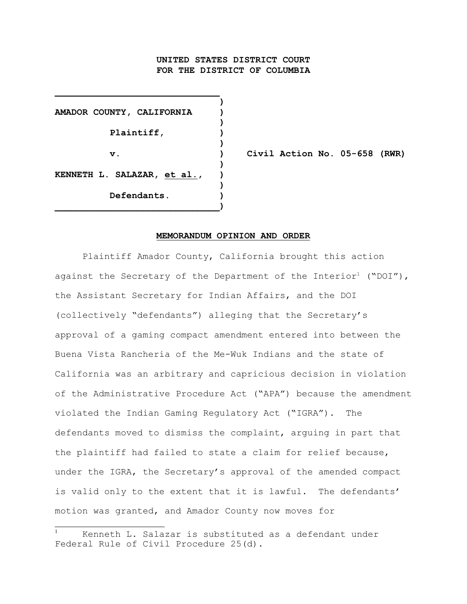# **UNITED STATES DISTRICT COURT FOR THE DISTRICT OF COLUMBIA**

**)**

**)**

**)**

**)**

**)**

**AMADOR COUNTY, CALIFORNIA ) Plaintiff, ) KENNETH L. SALAZAR, et al., ) Defendants. ) \_\_\_\_\_\_\_\_\_\_\_\_\_\_\_\_\_\_\_\_\_\_\_\_\_\_\_\_\_\_)**

**\_\_\_\_\_\_\_\_\_\_\_\_\_\_\_\_\_\_\_\_\_\_\_\_\_\_\_\_\_\_**

**v. ) Civil Action No. 05-658 (RWR)**

#### **MEMORANDUM OPINION AND ORDER**

Plaintiff Amador County, California brought this action against the Secretary of the Department of the Interior<sup>1</sup> ("DOI"), the Assistant Secretary for Indian Affairs, and the DOI (collectively "defendants") alleging that the Secretary's approval of a gaming compact amendment entered into between the Buena Vista Rancheria of the Me-Wuk Indians and the state of California was an arbitrary and capricious decision in violation of the Administrative Procedure Act ("APA") because the amendment violated the Indian Gaming Regulatory Act ("IGRA"). The defendants moved to dismiss the complaint, arguing in part that the plaintiff had failed to state a claim for relief because, under the IGRA, the Secretary's approval of the amended compact is valid only to the extent that it is lawful. The defendants' motion was granted, and Amador County now moves for

Kenneth L. Salazar is substituted as a defendant under <sup>1</sup> Federal Rule of Civil Procedure 25(d).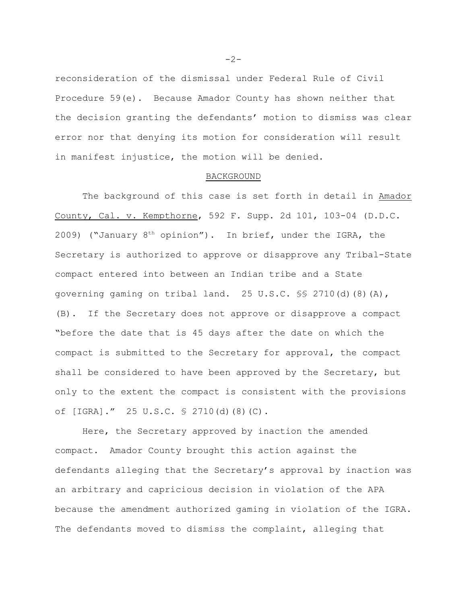reconsideration of the dismissal under Federal Rule of Civil Procedure 59(e). Because Amador County has shown neither that the decision granting the defendants' motion to dismiss was clear error nor that denying its motion for consideration will result in manifest injustice, the motion will be denied.

## BACKGROUND

The background of this case is set forth in detail in Amador County, Cal. v. Kempthorne, 592 F. Supp. 2d 101, 103-04 (D.D.C. 2009) ("January  $8<sup>th</sup>$  opinion"). In brief, under the IGRA, the Secretary is authorized to approve or disapprove any Tribal-State compact entered into between an Indian tribe and a State governing gaming on tribal land. 25 U.S.C. §§ 2710(d)(8)(A), (B). If the Secretary does not approve or disapprove a compact "before the date that is 45 days after the date on which the compact is submitted to the Secretary for approval, the compact shall be considered to have been approved by the Secretary, but only to the extent the compact is consistent with the provisions of [IGRA]." 25 U.S.C. § 2710(d)(8)(C).

Here, the Secretary approved by inaction the amended compact. Amador County brought this action against the defendants alleging that the Secretary's approval by inaction was an arbitrary and capricious decision in violation of the APA because the amendment authorized gaming in violation of the IGRA. The defendants moved to dismiss the complaint, alleging that

 $-2-$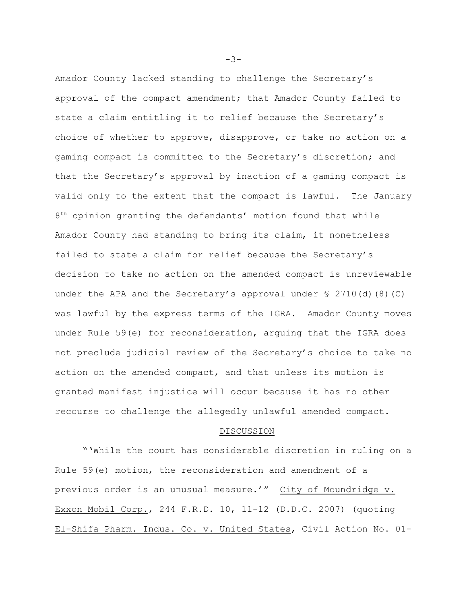Amador County lacked standing to challenge the Secretary's approval of the compact amendment; that Amador County failed to state a claim entitling it to relief because the Secretary's choice of whether to approve, disapprove, or take no action on a gaming compact is committed to the Secretary's discretion; and that the Secretary's approval by inaction of a gaming compact is valid only to the extent that the compact is lawful. The January  $8<sup>th</sup>$  opinion granting the defendants' motion found that while Amador County had standing to bring its claim, it nonetheless failed to state a claim for relief because the Secretary's decision to take no action on the amended compact is unreviewable under the APA and the Secretary's approval under  $\leq 2710$  (d) (8)(C) was lawful by the express terms of the IGRA. Amador County moves under Rule 59(e) for reconsideration, arguing that the IGRA does not preclude judicial review of the Secretary's choice to take no action on the amended compact, and that unless its motion is granted manifest injustice will occur because it has no other recourse to challenge the allegedly unlawful amended compact.

#### DISCUSSION

"'While the court has considerable discretion in ruling on a Rule 59(e) motion, the reconsideration and amendment of a previous order is an unusual measure.'" City of Moundridge v. Exxon Mobil Corp., 244 F.R.D. 10, 11-12 (D.D.C. 2007) (quoting El-Shifa Pharm. Indus. Co. v. United States, Civil Action No. 01-

-3-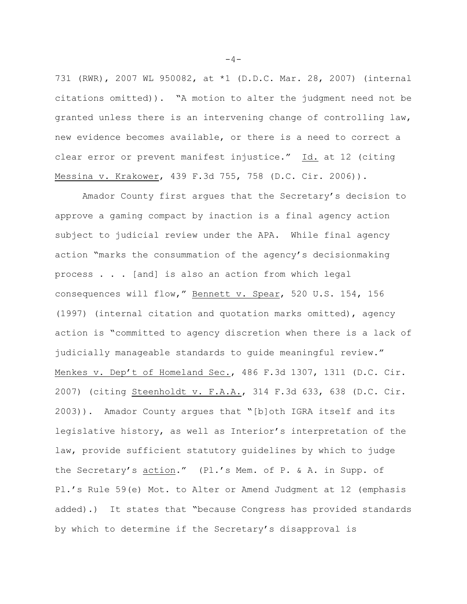731 (RWR), 2007 WL 950082, at \*1 (D.D.C. Mar. 28, 2007) (internal citations omitted)). "A motion to alter the judgment need not be granted unless there is an intervening change of controlling law, new evidence becomes available, or there is a need to correct a clear error or prevent manifest injustice." Id. at 12 (citing Messina v. Krakower, 439 F.3d 755, 758 (D.C. Cir. 2006)).

Amador County first argues that the Secretary's decision to approve a gaming compact by inaction is a final agency action subject to judicial review under the APA. While final agency action "marks the consummation of the agency's decisionmaking process . . . [and] is also an action from which legal consequences will flow," Bennett v. Spear, 520 U.S. 154, 156 (1997) (internal citation and quotation marks omitted), agency action is "committed to agency discretion when there is a lack of judicially manageable standards to quide meaningful review." Menkes v. Dep't of Homeland Sec., 486 F.3d 1307, 1311 (D.C. Cir. 2007) (citing Steenholdt v. F.A.A., 314 F.3d 633, 638 (D.C. Cir. 2003)). Amador County argues that "[b]oth IGRA itself and its legislative history, as well as Interior's interpretation of the law, provide sufficient statutory guidelines by which to judge the Secretary's action." (Pl.'s Mem. of P. & A. in Supp. of Pl.'s Rule 59(e) Mot. to Alter or Amend Judgment at 12 (emphasis added).) It states that "because Congress has provided standards by which to determine if the Secretary's disapproval is

 $-4-$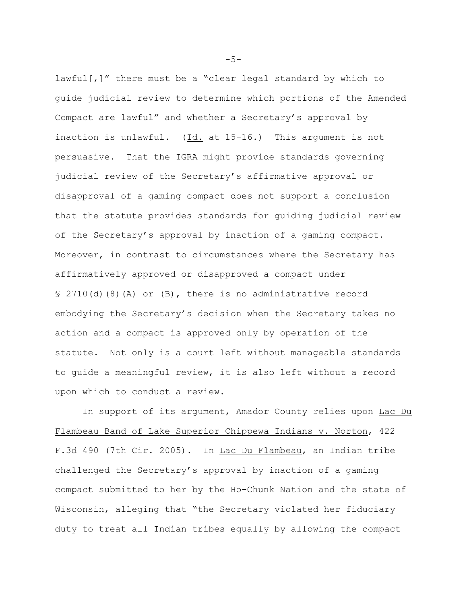lawful[,]" there must be a "clear legal standard by which to guide judicial review to determine which portions of the Amended Compact are lawful" and whether a Secretary's approval by inaction is unlawful. (Id. at 15-16.) This argument is not persuasive. That the IGRA might provide standards governing judicial review of the Secretary's affirmative approval or disapproval of a gaming compact does not support a conclusion that the statute provides standards for guiding judicial review of the Secretary's approval by inaction of a gaming compact. Moreover, in contrast to circumstances where the Secretary has affirmatively approved or disapproved a compact under § 2710(d)(8)(A) or (B), there is no administrative record embodying the Secretary's decision when the Secretary takes no action and a compact is approved only by operation of the statute. Not only is a court left without manageable standards to guide a meaningful review, it is also left without a record upon which to conduct a review.

In support of its argument, Amador County relies upon Lac Du Flambeau Band of Lake Superior Chippewa Indians v. Norton, 422 F.3d 490 (7th Cir. 2005). In Lac Du Flambeau, an Indian tribe challenged the Secretary's approval by inaction of a gaming compact submitted to her by the Ho-Chunk Nation and the state of Wisconsin, alleging that "the Secretary violated her fiduciary duty to treat all Indian tribes equally by allowing the compact

 $-5-$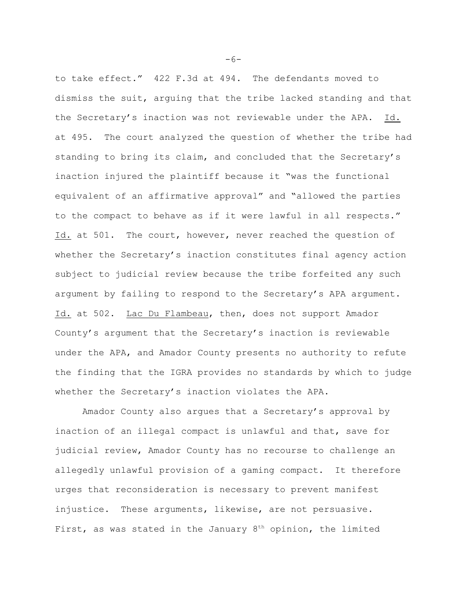to take effect." 422 F.3d at 494. The defendants moved to dismiss the suit, arguing that the tribe lacked standing and that the Secretary's inaction was not reviewable under the APA. Id. at 495. The court analyzed the question of whether the tribe had standing to bring its claim, and concluded that the Secretary's inaction injured the plaintiff because it "was the functional equivalent of an affirmative approval" and "allowed the parties to the compact to behave as if it were lawful in all respects." Id. at 501. The court, however, never reached the question of whether the Secretary's inaction constitutes final agency action subject to judicial review because the tribe forfeited any such argument by failing to respond to the Secretary's APA argument. Id. at 502. Lac Du Flambeau, then, does not support Amador County's argument that the Secretary's inaction is reviewable under the APA, and Amador County presents no authority to refute the finding that the IGRA provides no standards by which to judge whether the Secretary's inaction violates the APA.

Amador County also argues that a Secretary's approval by inaction of an illegal compact is unlawful and that, save for judicial review, Amador County has no recourse to challenge an allegedly unlawful provision of a gaming compact. It therefore urges that reconsideration is necessary to prevent manifest injustice. These arguments, likewise, are not persuasive. First, as was stated in the January  $8<sup>th</sup>$  opinion, the limited

 $-6-$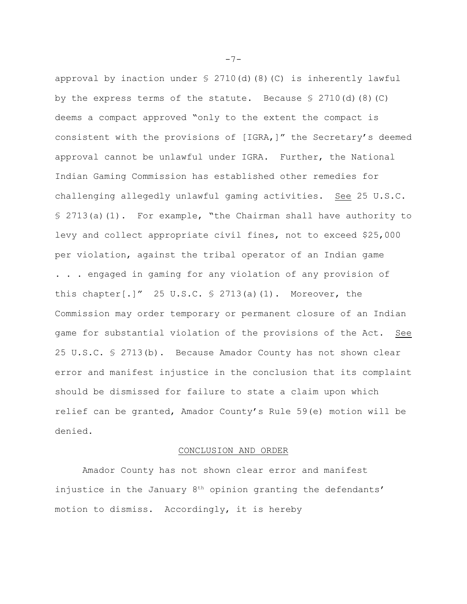approval by inaction under  $\frac{1}{2}$  2710(d)(8)(C) is inherently lawful by the express terms of the statute. Because  $\S 2710(d)$  (8)(C) deems a compact approved "only to the extent the compact is consistent with the provisions of [IGRA,]" the Secretary's deemed approval cannot be unlawful under IGRA. Further, the National Indian Gaming Commission has established other remedies for challenging allegedly unlawful gaming activities. See 25 U.S.C. § 2713(a)(1). For example, "the Chairman shall have authority to levy and collect appropriate civil fines, not to exceed \$25,000 per violation, against the tribal operator of an Indian game . . . engaged in gaming for any violation of any provision of this chapter[.]" 25 U.S.C.  $\frac{6}{5}$  2713(a)(1). Moreover, the Commission may order temporary or permanent closure of an Indian game for substantial violation of the provisions of the Act. See 25 U.S.C. § 2713(b). Because Amador County has not shown clear error and manifest injustice in the conclusion that its complaint should be dismissed for failure to state a claim upon which relief can be granted, Amador County's Rule 59(e) motion will be denied.

## CONCLUSION AND ORDER

Amador County has not shown clear error and manifest injustice in the January  $8<sup>th</sup>$  opinion granting the defendants' motion to dismiss. Accordingly, it is hereby

 $-7-$